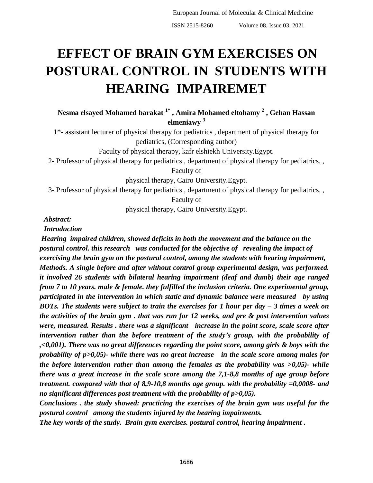# **EFFECT OF BRAIN GYM EXERCISES ON POSTURAL CONTROL IN STUDENTS WITH HEARING IMPAIREMET**

**Nesma elsayed Mohamed barakat 1\* , Amira Mohamed eltohamy <sup>2</sup> , Gehan Hassan elmeniawy <sup>3</sup>**

1\*- assistant lecturer of physical therapy for pediatrics , department of physical therapy for pediatrics, (Corresponding author)

Faculty of physical therapy, kafr elshiekh University.Egypt.

2- Professor of physical therapy for pediatrics , department of physical therapy for pediatrics, ,

Faculty of

physical therapy, Cairo University.Egypt.

3- Professor of physical therapy for pediatrics , department of physical therapy for pediatrics, ,

Faculty of

physical therapy, Cairo University.Egypt.

*Abstract:*

*Introduction*

*Hearing impaired children, showed deficits in both the movement and the balance on the postural control. this research was conducted for the objective of revealing the impact of exercising the brain gym on the postural control, among the students with hearing impairment, Methods. A single before and after without control group experimental design, was performed. it involved 26 students with bilateral hearing impairment (deaf and dumb) their age ranged from 7 to 10 years. male & female. they fulfilled the inclusion criteria. One experimental group, participated in the intervention in which static and dynamic balance were measured by using BOTs. The students were subject to train the exercises for 1 hour per day – 3 times a week on the activities of the brain gym . that was run for 12 weeks, and pre & post intervention values were, measured. Results . there was a significant increase in the point score, scale score after intervention rather than the before treatment of the study's group, with the probability of ,<0,001). There was no great differences regarding the point score, among girls & boys with the probability of p>0,05)- while there was no great increase in the scale score among males for the before intervention rather than among the females as the probability was >0,05)- while there was a great increase in the scale score among the 7,1-8,8 months of age group before treatment. compared with that of 8,9-10,8 months age group. with the probability =0,0008- and no significant differences post treatment with the probability of p>0,05).*

*Conclusions . the study showed: practicing the exercises of the brain gym was useful for the postural control among the students injured by the hearing impairments.*

*The key words of the study. Brain gym exercises. postural control, hearing impairment .*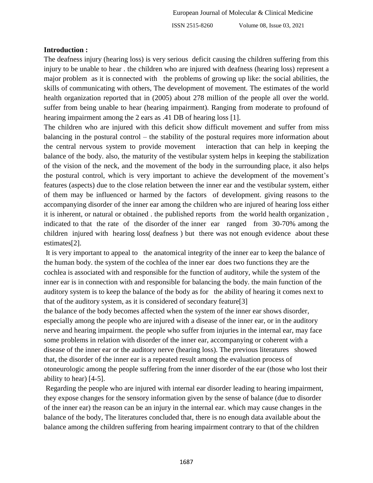## **Introduction :**

The deafness injury (hearing loss) is very serious deficit causing the children suffering from this injury to be unable to hear . the children who are injured with deafness (hearing loss) represent a major problem as it is connected with the problems of growing up like: the social abilities, the skills of communicating with others, The development of movement. The estimates of the world health organization reported that in (2005) about 278 million of the people all over the world. suffer from being unable to hear (hearing impairment). Ranging from moderate to profound of hearing impairment among the 2 ears as .41 DB of hearing loss [1].

The children who are injured with this deficit show difficult movement and suffer from miss balancing in the postural control – the stability of the postural requires more information about the central nervous system to provide movement interaction that can help in keeping the balance of the body. also, the maturity of the vestibular system helps in keeping the stabilization of the vision of the neck, and the movement of the body in the surrounding place, it also helps the postural control, which is very important to achieve the development of the movement's features (aspects) due to the close relation between the inner ear and the vestibular system, either of them may be influenced or harmed by the factors of development. giving reasons to the accompanying disorder of the inner ear among the children who are injured of hearing loss either it is inherent, or natural or obtained . the published reports from the world health organization , indicated to that the rate of the disorder of the inner ear ranged from 30-70% among the children injured with hearing loss( deafness ) but there was not enough evidence about these estimates[2].

It is very important to appeal to the anatomical integrity of the inner ear to keep the balance of the human body. the system of the cochlea of the inner ear does two functions they are the cochlea is associated with and responsible for the function of auditory, while the system of the inner ear is in connection with and responsible for balancing the body. the main function of the auditory system is to keep the balance of the body as for the ability of hearing it comes next to that of the auditory system, as it is considered of secondary feature[3]

the balance of the body becomes affected when the system of the inner ear shows disorder, especially among the people who are injured with a disease of the inner ear, or in the auditory nerve and hearing impairment. the people who suffer from injuries in the internal ear, may face some problems in relation with disorder of the inner ear, accompanying or coherent with a disease of the inner ear or the auditory nerve (hearing loss). The previous literatures showed that, the disorder of the inner ear is a repeated result among the evaluation process of otoneurologic among the people suffering from the inner disorder of the ear (those who lost their ability to hear) [4-5].

Regarding the people who are injured with internal ear disorder leading to hearing impairment, they expose changes for the sensory information given by the sense of balance (due to disorder of the inner ear) the reason can be an injury in the internal ear. which may cause changes in the balance of the body, The literatures concluded that, there is no enough data available about the balance among the children suffering from hearing impairment contrary to that of the children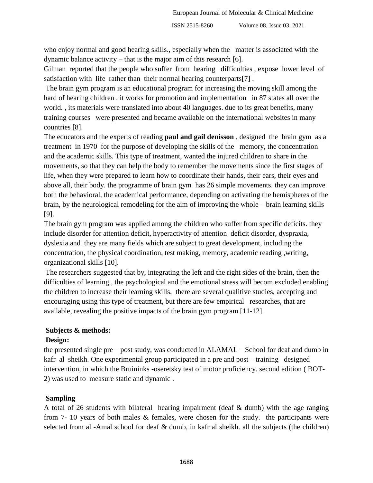who enjoy normal and good hearing skills., especially when the matter is associated with the dynamic balance activity – that is the major aim of this research [6].

Gilman reported that the people who suffer from hearing difficulties , expose lower level of satisfaction with life rather than their normal hearing counterparts[7] .

The brain gym program is an educational program for increasing the moving skill among the hard of hearing children . it works for promotion and implementation in 87 states all over the world. , its materials were translated into about 40 languages. due to its great benefits, many training courses were presented and became available on the international websites in many countries [8].

The educators and the experts of reading **paul and gail denisson** , designed the brain gym as a treatment in 1970 for the purpose of developing the skills of the memory, the concentration and the academic skills. This type of treatment, wanted the injured children to share in the movements, so that they can help the body to remember the movements since the first stages of life, when they were prepared to learn how to coordinate their hands, their ears, their eyes and above all, their body. the programme of brain gym has 26 simple movements. they can improve both the behavioral, the academical performance, depending on activating the hemispheres of the brain, by the neurological remodeling for the aim of improving the whole – brain learning skills [9].

The brain gym program was applied among the children who suffer from specific deficits. they include disorder for attention deficit, hyperactivity of attention deficit disorder, dyspraxia, dyslexia.and they are many fields which are subject to great development, including the concentration, the physical coordination, test making, memory, academic reading ,writing, organizational skills [10].

The researchers suggested that by, integrating the left and the right sides of the brain, then the difficulties of learning , the psychological and the emotional stress will becom excluded.enabling the children to increase their learning skills. there are several qualitive studies, accepting and encouraging using this type of treatment, but there are few empirical researches, that are available, revealing the positive impacts of the brain gym program [11-12].

# **Subjects & methods:**

# **Design:**

the presented single pre – post study, was conducted in ALAMAL – School for deaf and dumb in kafr al sheikh. One experimental group participated in a pre and post – training designed intervention, in which the Bruininks -oseretsky test of motor proficiency. second edition ( BOT-2) was used to measure static and dynamic .

# **Sampling**

A total of 26 students with bilateral hearing impairment (deaf & dumb) with the age ranging from 7- 10 years of both males & females, were chosen for the study. the participants were selected from al -Amal school for deaf & dumb, in kafr al sheikh. all the subjects (the children)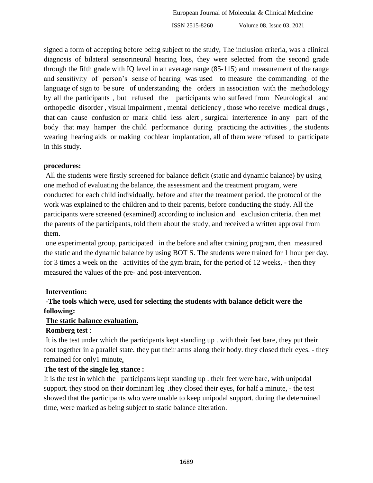signed a form of accepting before being subject to the study, The inclusion criteria, was a clinical diagnosis of bilateral sensorineural hearing loss, they were selected from the second grade through the fifth grade with IQ level in an average range (85-115) and measurement of the range and sensitivity of person's sense of hearing was used to measure the commanding of the language of sign to be sure of understanding the orders in association with the methodology by all the participants , but refused the participants who suffered from Neurological and orthopedic disorder , visual impairment , mental deficiency , those who receive medical drugs , that can cause confusion or mark child less alert , surgical interference in any part of the body that may hamper the child performance during practicing the activities, the students wearing hearing aids or making cochlear implantation, all of them were refused to participate in this study.

## **procedures:**

All the students were firstly screened for balance deficit (static and dynamic balance) by using one method of evaluating the balance, the assessment and the treatment program, were conducted for each child individually, before and after the treatment period. the protocol of the work was explained to the children and to their parents, before conducting the study. All the participants were screened (examined) according to inclusion and exclusion criteria. then met the parents of the participants, told them about the study, and received a written approval from them.

one experimental group, participated in the before and after training program, then measured the static and the dynamic balance by using BOT S. The students were trained for 1 hour per day. for 3 times a week on the activities of the gym brain, for the period of 12 weeks, - then they measured the values of the pre- and post-intervention.

# **Intervention:**

# **-The tools which were, used for selecting the students with balance deficit were the following:**

## **The static balance evaluation.**

# **Romberg test** :

It is the test under which the participants kept standing up . with their feet bare, they put their foot together in a parallel state. they put their arms along their body. they closed their eyes. - they remained for only1 minute,

## **The test of the single leg stance :**

It is the test in which the participants kept standing up . their feet were bare, with unipodal support. they stood on their dominant leg they closed their eyes, for half a minute, - the test showed that the participants who were unable to keep unipodal support. during the determined time, were marked as being subject to static balance alteration.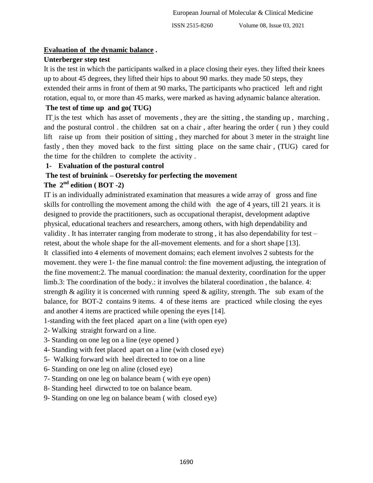## **Evaluation of the dynamic balance .**

# **Unterberger step test**

It is the test in which the participants walked in a place closing their eyes. they lifted their knees up to about 45 degrees, they lifted their hips to about 90 marks. they made 50 steps, they extended their arms in front of them at 90 marks, The participants who practiced left and right rotation, equal to, or more than 45 marks, were marked as having adynamic balance alteration.

# **The test of time up and go( TUG)**

IT is the test which has asset of movements , they are the sitting , the standing up , marching , and the postural control . the children sat on a chair , after hearing the order ( run ) they could lift raise up from their position of sitting , they marched for about 3 meter in the straight line fastly , then they moved back to the first sitting place on the same chair , (TUG) cared for the time for the children to complete the activity .

# **1- Evaluation of the postural control**

# **The test of bruinink – Oseretsky for perfecting the movement**

# The  $2^{nd}$  **edition** ( **BOT** -2)

IT is an individually administrated examination that measures a wide array of gross and fine skills for controlling the movement among the child with the age of 4 years, till 21 years. it is designed to provide the practitioners, such as occupational therapist, development adaptive physical, educational teachers and researchers, among others, with high dependability and validity . It has interrater ranging from moderate to strong , it has also dependability for test – retest, about the whole shape for the all-movement elements. and for a short shape [13]. It classified into 4 elements of movement domains; each element involves 2 subtests for the movement. they were 1- the fine manual control: the fine movement adjusting, the integration of the fine movement:2. The manual coordination: the manual dexterity, coordination for the upper limb.3: The coordination of the body.: it involves the bilateral coordination , the balance. 4: strength & agility it is concerned with running speed & agility, strength. The sub exam of the balance, for BOT-2 contains 9 items. 4 of these items are practiced while closing the eyes and another 4 items are practiced while opening the eyes [14].

1-standing with the feet placed apart on a line (with open eye)

- 2- Walking straight forward on a line.
- 3- Standing on one leg on a line (eye opened )
- 4- Standing with feet placed apart on a line (with closed eye)
- 5- Walking forward with heel directed to toe on a line
- 6- Standing on one leg on aline (closed eye)
- 7- Standing on one leg on balance beam ( with eye open)
- 8- Standing heel dirwcted to toe on balance beam.
- 9- Standing on one leg on balance beam ( with closed eye)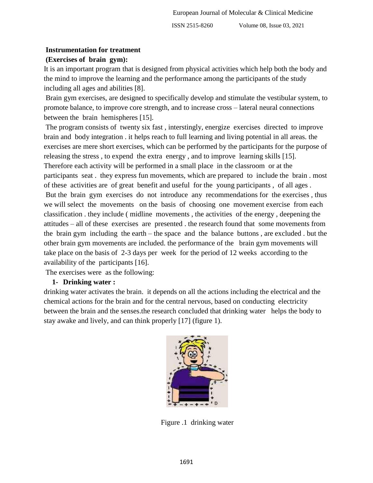#### **Instrumentation for treatment**

## **(Exercises of brain gym):**

It is an important program that is designed from physical activities which help both the body and the mind to improve the learning and the performance among the participants of the study including all ages and abilities [8].

Brain gym exercises, are designed to specifically develop and stimulate the vestibular system, to promote balance, to improve core strength, and to increase cross – lateral neural connections between the brain hemispheres [15].

The program consists of twenty six fast , interstingly, energize exercises directed to improve brain and body integration . it helps reach to full learning and living potential in all areas. the exercises are mere short exercises, which can be performed by the participants for the purpose of releasing the stress , to expend the extra energy , and to improve learning skills [15]. Therefore each activity will be performed in a small place in the classroom or at the participants seat . they express fun movements, which are prepared to include the brain . most of these activities are of great benefit and useful for the young participants , of all ages . But the brain gym exercises do not introduce any recommendations for the exercises , thus we will select the movements on the basis of choosing one movement exercise from each classification . they include ( midline movements , the activities of the energy , deepening the attitudes – all of these exercises are presented . the research found that some movements from the brain gym including the earth – the space and the balance buttons , are excluded . but the other brain gym movements are included. the performance of the brain gym movements will take place on the basis of 2-3 days per week for the period of 12 weeks according to the availability of the participants [16].

The exercises were as the following:

#### **1- Drinking water :**

drinking water activates the brain. it depends on all the actions including the electrical and the chemical actions for the brain and for the central nervous, based on conducting electricity between the brain and the senses.the research concluded that drinking water helps the body to stay awake and lively, and can think properly [17] (figure 1).



Figure .1 drinking water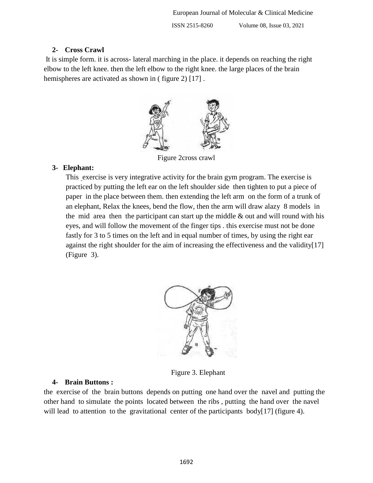## **2- Cross Crawl**

It is simple form. it is across- lateral marching in the place. it depends on reaching the right elbow to the left knee. then the left elbow to the right knee. the large places of the brain hemispheres are activated as shown in (figure 2) [17].



Figure 2cross crawl

# **3- Elephant:**

This exercise is very integrative activity for the brain gym program. The exercise is practiced by putting the left ear on the left shoulder side then tighten to put a piece of paper in the place between them. then extending the left arm on the form of a trunk of an elephant, Relax the knees, bend the flow, then the arm will draw alazy 8 models in the mid area then the participant can start up the middle  $\&$  out and will round with his eyes, and will follow the movement of the finger tips . this exercise must not be done fastly for 3 to 5 times on the left and in equal number of times, by using the right ear against the right shoulder for the aim of increasing the effectiveness and the validity[17] (Figure 3).



Figure 3. Elephant

# **4- Brain Buttons :**

the exercise of the brain buttons depends on putting one hand over the navel and putting the other hand to simulate the points located between the ribs , putting the hand over the navel will lead to attention to the gravitational center of the participants body[17] (figure 4).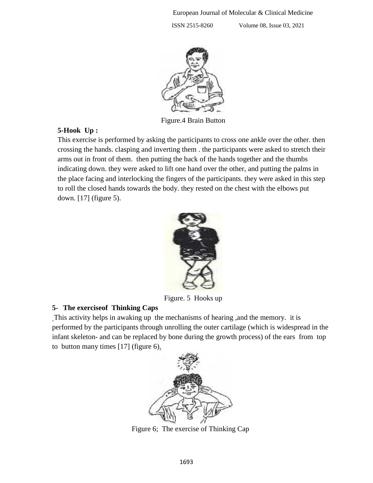

Figure.4 Brain Button

## **5-Hook Up :**

This exercise is performed by asking the participants to cross one ankle over the other. then crossing the hands. clasping and inverting them . the participants were asked to stretch their arms out in front of them. then putting the back of the hands together and the thumbs indicating down. they were asked to lift one hand over the other, and putting the palms in the place facing and interlocking the fingers of the participants. they were asked in this step to roll the closed hands towards the body. they rested on the chest with the elbows put down. [17] (figure 5).



Figure. 5 Hooks up

# **5- The exerciseof Thinking Caps**

This activity helps in awaking up the mechanisms of hearing ,and the memory. it is performed by the participants through unrolling the outer cartilage (which is widespread in the infant skeleton- and can be replaced by bone during the growth process) of the ears from top to button many times  $[17]$  (figure 6).



Figure 6; The exercise of Thinking Cap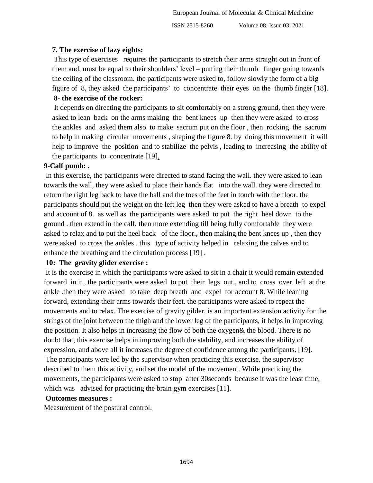# **7. The exercise of lazy eights:**

This type of exercises requires the participants to stretch their arms straight out in front of them and, must be equal to their shoulders' level – putting their thumb finger going towards the ceiling of the classroom. the participants were asked to, follow slowly the form of a big figure of 8, they asked the participants' to concentrate their eyes on the thumb finger [18].

# **8- the exercise of the rocker:**

It depends on directing the participants to sit comfortably on a strong ground, then they were asked to lean back on the arms making the bent knees up then they were asked to cross the ankles and asked them also to make sacrum put on the floor , then rocking the sacrum to help in making circular movements , shaping the figure 8. by doing this movement it will help to improve the position and to stabilize the pelvis , leading to increasing the ability of the participants to concentrate [19].

## **9-Calf pumb: .**

In this exercise, the participants were directed to stand facing the wall. they were asked to lean towards the wall, they were asked to place their hands flat into the wall. they were directed to return the right leg back to have the ball and the toes of the feet in touch with the floor. the participants should put the weight on the left leg then they were asked to have a breath to expel and account of 8. as well as the participants were asked to put the right heel down to the ground . then extend in the calf, then more extending till being fully comfortable they were asked to relax and to put the heel back of the floor., then making the bent knees up , then they were asked to cross the ankles . this type of activity helped in relaxing the calves and to enhance the breathing and the circulation process [19] .

## **10: The gravity glider exercise :**

It is the exercise in which the participants were asked to sit in a chair it would remain extended forward in it , the participants were asked to put their legs out , and to cross over left at the ankle .then they were asked to take deep breath and expel for account 8. While leaning forward, extending their arms towards their feet. the participants were asked to repeat the movements and to relax. The exercise of gravity gilder, is an important extension activity for the strings of the joint between the thigh and the lower leg of the participants, it helps in improving the position. It also helps in increasing the flow of both the oxygen& the blood. There is no doubt that, this exercise helps in improving both the stability, and increases the ability of expression, and above all it increases the degree of confidence among the participants. [19].

The participants were led by the supervisor when practicing this exercise. the supervisor described to them this activity, and set the model of the movement. While practicing the movements, the participants were asked to stop after 30seconds because it was the least time, which was advised for practicing the brain gym exercises [11].

## **Outcomes measures :**

Measurement of the postural control.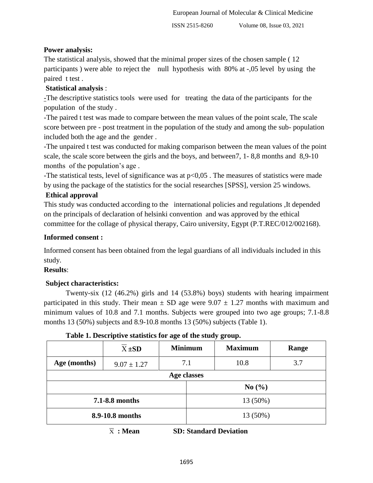# **Power analysis:**

The statistical analysis, showed that the minimal proper sizes of the chosen sample ( 12 participants ) were able to reject the null hypothesis with 80% at -,05 level by using the paired t test .

# **Statistical analysis** :

-The descriptive statistics tools were used for treating the data of the participants for the population of the study .

-The paired t test was made to compare between the mean values of the point scale, The scale score between pre - post treatment in the population of the study and among the sub- population included both the age and the gender .

-The unpaired t test was conducted for making comparison between the mean values of the point scale, the scale score between the girls and the boys, and between7, 1- 8,8 months and 8,9-10 months of the population's age .

-The statistical tests, level of significance was at p<0,05 . The measures of statistics were made by using the package of the statistics for the social researches [SPSS], version 25 windows.

# **Ethical approval**

This study was conducted according to the international policies and regulations ,It depended on the principals of declaration of helsinki convention and was approved by the ethical committee for the collage of physical therapy, Cairo university, Egypt (P.T.REC/012/002168).

# **Informed consent :**

Informed consent has been obtained from the legal guardians of all individuals included in this study.

# **Results**:

# **Subject characteristics:**

Twenty-six (12 (46.2%) girls and 14 (53.8%) boys) students with hearing impairment participated in this study. Their mean  $\pm$  SD age were 9.07  $\pm$  1.27 months with maximum and minimum values of 10.8 and 7.1 months. Subjects were grouped into two age groups; 7.1-8.8 months 13 (50%) subjects and 8.9-10.8 months 13 (50%) subjects (Table 1).

|                 | $X \pm SD$      | <b>Minimum</b> |          | <b>Maximum</b> | Range |  |  |      |     |
|-----------------|-----------------|----------------|----------|----------------|-------|--|--|------|-----|
| Age (months)    | $9.07 \pm 1.27$ | 7.1            |          |                |       |  |  | 10.8 | 3.7 |
| Age classes     |                 |                |          |                |       |  |  |      |     |
|                 |                 |                | No(%)    |                |       |  |  |      |     |
| 7.1-8.8 months  |                 |                | 13 (50%) |                |       |  |  |      |     |
| 8.9-10.8 months |                 |                | 13 (50%) |                |       |  |  |      |     |

**Table 1. Descriptive statistics for age of the study group.**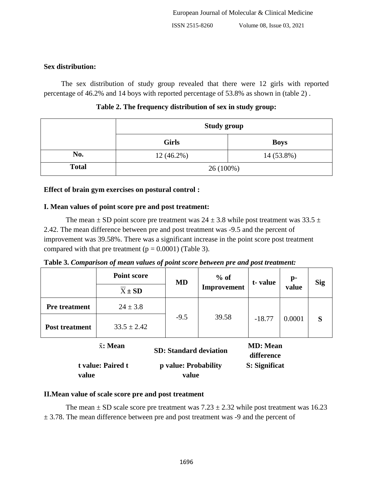# **Sex distribution:**

The sex distribution of study group revealed that there were 12 girls with reported percentage of 46.2% and 14 boys with reported percentage of 53.8% as shown in (table 2) .

|              | <b>Study group</b> |             |  |  |
|--------------|--------------------|-------------|--|--|
|              | <b>Girls</b>       | <b>Boys</b> |  |  |
| No.          | $12(46.2\%)$       | 14 (53.8%)  |  |  |
| <b>Total</b> | $26(100\%)$        |             |  |  |

**Table 2. The frequency distribution of sex in study group:**

# **Effect of brain gym exercises on postural control :**

# **I. Mean values of point score pre and post treatment:**

The mean  $\pm$  SD point score pre treatment was 24  $\pm$  3.8 while post treatment was 33.5  $\pm$ 2.42. The mean difference between pre and post treatment was -9.5 and the percent of improvement was 39.58%. There was a significant increase in the point score post treatment compared with that pre treatment ( $p = 0.0001$ ) (Table 3).

**Table 3.** *Comparison of mean values of point score between pre and post treatment:*

|                       | <b>Point score</b> | <b>MD</b> | $%$ of      | t-value          | $\mathbf{p}$ - | <b>Sig</b> |
|-----------------------|--------------------|-----------|-------------|------------------|----------------|------------|
|                       | $X \pm SD$         |           | Improvement |                  | value          |            |
| <b>Pre</b> treatment  | $24 \pm 3.8$       |           |             |                  |                |            |
| <b>Post treatment</b> | $33.5 \pm 2.42$    | $-9.5$    | 39.58       | $-18.77$         | 0.0001         | S          |
|                       | $\bar{x}$ : Mean   |           |             | <b>MD</b> : Mean |                |            |

| $\bar{x}$ : Mean  |                               | <b>MD</b> : Mean |  |  |
|-------------------|-------------------------------|------------------|--|--|
|                   | <b>SD: Standard deviation</b> | difference       |  |  |
| t value: Paired t | p value: Probability          | S: Significat    |  |  |
| value             | value                         |                  |  |  |

# **II.Mean value of scale score pre and post treatment**

The mean  $\pm$  SD scale score pre treatment was 7.23  $\pm$  2.32 while post treatment was 16.23  $\pm$  3.78. The mean difference between pre and post treatment was -9 and the percent of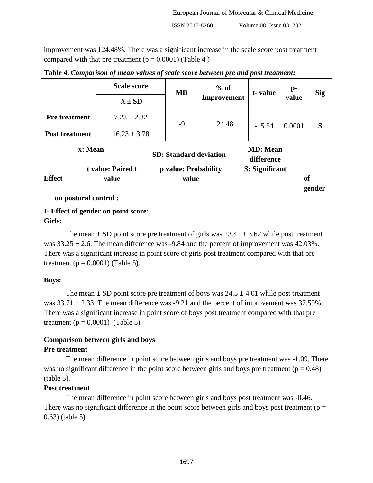improvement was 124.48%. There was a significant increase in the scale score post treatment compared with that pre treatment  $(p = 0.0001)$  (Table 4)

|                       | <b>Scale score</b>         | <b>MD</b>                     | $%$ of      | t-value                        | p-                    | <b>Sig</b> |
|-----------------------|----------------------------|-------------------------------|-------------|--------------------------------|-----------------------|------------|
|                       | $X \pm SD$                 |                               | Improvement |                                | value<br>0.0001<br>of |            |
| <b>Pre</b> treatment  | $7.23 \pm 2.32$            | $-9$                          | 124.48      |                                |                       |            |
| <b>Post treatment</b> | $16.23 \pm 3.78$           |                               |             | $-15.54$                       |                       | S          |
| $\bar{x}$ : Mean      |                            | <b>SD: Standard deviation</b> |             | <b>MD</b> : Mean<br>difference |                       |            |
| <b>Effect</b>         | t value: Paired t<br>value | p value: Probability<br>value |             | S: Significant                 |                       | gender     |

**Table 4.** *Comparison of mean values of scale score between pre and post treatment:*

**on postural control :**

# **I- Effect of gender on point score: Girls:**

The mean  $\pm$  SD point score pre treatment of girls was 23.41  $\pm$  3.62 while post treatment was  $33.25 \pm 2.6$ . The mean difference was -9.84 and the percent of improvement was 42.03%. There was a significant increase in point score of girls post treatment compared with that pre treatment ( $p = 0.0001$ ) (Table 5).

## **Boys:**

The mean  $\pm$  SD point score pre treatment of boys was 24.5  $\pm$  4.01 while post treatment was  $33.71 \pm 2.33$ . The mean difference was -9.21 and the percent of improvement was 37.59%. There was a significant increase in point score of boys post treatment compared with that pre treatment ( $p = 0.0001$ ) (Table 5).

# **Comparison between girls and boys**

## **Pre treatment**

The mean difference in point score between girls and boys pre treatment was -1.09. There was no significant difference in the point score between girls and boys pre treatment ( $p = 0.48$ ) (table 5).

# **Post treatment**

The mean difference in point score between girls and boys post treatment was -0.46. There was no significant difference in the point score between girls and boys post treatment ( $p =$ 0.63) (table 5).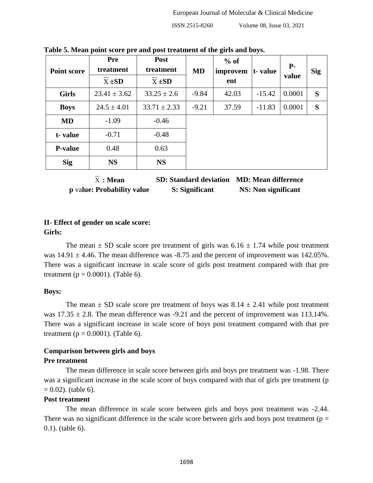| <b>Point score</b> | <b>Pre</b><br>treatment<br>$X \pm SD$ | <b>Post</b><br>treatment<br>$X \pm SD$ | MD      | $%$ of<br>improvem<br>ent | t-value  | $P-$<br>value | <b>Sig</b> |
|--------------------|---------------------------------------|----------------------------------------|---------|---------------------------|----------|---------------|------------|
| <b>Girls</b>       | $23.41 \pm 3.62$                      | $33.25 \pm 2.6$                        | $-9.84$ | 42.03                     | $-15.42$ | 0.0001        | S          |
| <b>Boys</b>        | $24.5 \pm 4.01$                       | $33.71 \pm 2.33$                       | $-9.21$ | 37.59                     | $-11.83$ | 0.0001        | S          |
| <b>MD</b>          | $-1.09$                               | $-0.46$                                |         |                           |          |               |            |
| t-value            | $-0.71$                               | $-0.48$                                |         |                           |          |               |            |
| <b>P-value</b>     | 0.48                                  | 0.63                                   |         |                           |          |               |            |
| <b>Sig</b>         | <b>NS</b>                             | <b>NS</b>                              |         |                           |          |               |            |

**Table 5. Mean point score pre and post treatment of the girls and boys.**

| X : <b>Mean</b>            | <b>SD: Standard deviation</b> | <b>MD: Mean difference</b> |
|----------------------------|-------------------------------|----------------------------|
| p value: Probability value | S: Significant                | <b>NS:</b> Non significant |

## **II- Effect of gender on scale score: Girls:**

The mean  $\pm$  SD scale score pre treatment of girls was 6.16  $\pm$  1.74 while post treatment was  $14.91 \pm 4.46$ . The mean difference was  $-8.75$  and the percent of improvement was  $142.05\%$ . There was a significant increase in scale score of girls post treatment compared with that pre treatment ( $p = 0.0001$ ). (Table 6).

## **Boys:**

The mean  $\pm$  SD scale score pre treatment of boys was 8.14  $\pm$  2.41 while post treatment was  $17.35 \pm 2.8$ . The mean difference was -9.21 and the percent of improvement was 113.14%. There was a significant increase in scale score of boys post treatment compared with that pre treatment ( $p = 0.0001$ ). (Table 6).

# **Comparison between girls and boys**

## **Pre treatment**

The mean difference in scale score between girls and boys pre treatment was -1.98. There was a significant increase in the scale score of boys compared with that of girls pre treatment (p  $= 0.02$ ). (table 6).

## **Post treatment**

The mean difference in scale score between girls and boys post treatment was -2.44. There was no significant difference in the scale score between girls and boys post treatment ( $p =$ 0.1). (table 6).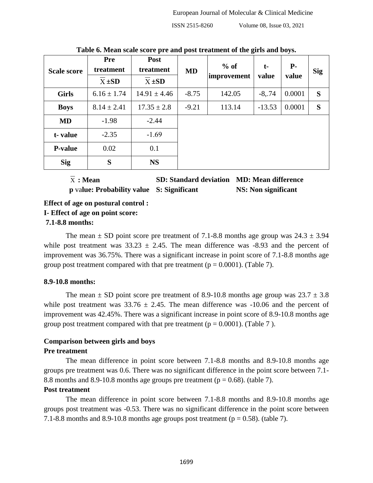| <b>Scale score</b> | <b>Pre</b><br>treatment<br>$X \pm SD$ | <b>Post</b><br>treatment<br>$X \pm SD$ | <b>MD</b> | $%$ of<br>improvement | $t-$<br>value | $P-$<br>value | <b>Sig</b> |
|--------------------|---------------------------------------|----------------------------------------|-----------|-----------------------|---------------|---------------|------------|
| <b>Girls</b>       | $6.16 \pm 1.74$                       | $14.91 \pm 4.46$                       | $-8.75$   | 142.05                | $-8, 74$      | 0.0001        | S          |
| <b>Boys</b>        | $8.14 \pm 2.41$                       | $17.35 \pm 2.8$                        | $-9.21$   | 113.14                | $-13.53$      | 0.0001        | S          |
| <b>MD</b>          | $-1.98$                               | $-2.44$                                |           |                       |               |               |            |
| t-value            | $-2.35$                               | $-1.69$                                |           |                       |               |               |            |
| <b>P-value</b>     | 0.02                                  | 0.1                                    |           |                       |               |               |            |
| <b>Sig</b>         | S                                     | <b>NS</b>                              |           |                       |               |               |            |

**Table 6. Mean scale score pre and post treatment of the girls and boys.**

 $\overline{x}$ : Mean

**: Mean SD: Standard deviation MD: Mean difference**

**p** va**lue: Probability value S: Significant NS: Non significant**

**Effect of age on postural control :**

**I- Effect of age on point score:**

## **7.1-8.8 months:**

The mean  $\pm$  SD point score pre treatment of 7.1-8.8 months age group was 24.3  $\pm$  3.94 while post treatment was  $33.23 \pm 2.45$ . The mean difference was -8.93 and the percent of improvement was 36.75%. There was a significant increase in point score of 7.1-8.8 months age group post treatment compared with that pre treatment ( $p = 0.0001$ ). (Table 7).

## **8.9-10.8 months:**

The mean  $\pm$  SD point score pre treatment of 8.9-10.8 months age group was 23.7  $\pm$  3.8 while post treatment was  $33.76 \pm 2.45$ . The mean difference was -10.06 and the percent of improvement was 42.45%. There was a significant increase in point score of 8.9-10.8 months age group post treatment compared with that pre treatment ( $p = 0.0001$ ). (Table 7).

## **Comparison between girls and boys**

## **Pre treatment**

The mean difference in point score between 7.1-8.8 months and 8.9-10.8 months age groups pre treatment was 0.6. There was no significant difference in the point score between 7.1- 8.8 months and 8.9-10.8 months age groups pre treatment ( $p = 0.68$ ). (table 7).

## **Post treatment**

The mean difference in point score between 7.1-8.8 months and 8.9-10.8 months age groups post treatment was -0.53. There was no significant difference in the point score between 7.1-8.8 months and 8.9-10.8 months age groups post treatment ( $p = 0.58$ ). (table 7).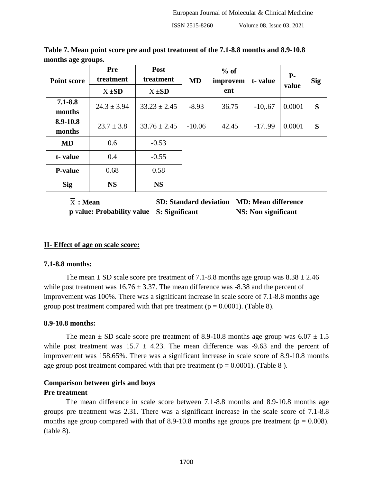| <b>Point score</b>    | <b>Pre</b><br>treatment<br>$X \pm SD$ | Post<br>treatment<br>$X \pm SD$ | <b>MD</b> | $%$ of<br>improvem<br>ent | t-value   | <b>P-</b><br>value | <b>Sig</b> |
|-----------------------|---------------------------------------|---------------------------------|-----------|---------------------------|-----------|--------------------|------------|
| $7.1 - 8.8$<br>months | $24.3 \pm 3.94$                       | $33.23 \pm 2.45$                | $-8.93$   | 36.75                     | $-10, 67$ | 0.0001             | S          |
| 8.9-10.8<br>months    | $23.7 \pm 3.8$                        | $33.76 \pm 2.45$                | $-10.06$  | 42.45                     | $-17.99$  | 0.0001             | S          |
| <b>MD</b>             | 0.6                                   | $-0.53$                         |           |                           |           |                    |            |
| t-value               | 0.4                                   | $-0.55$                         |           |                           |           |                    |            |
| <b>P-value</b>        | 0.68                                  | 0.58                            |           |                           |           |                    |            |
| <b>Sig</b>            | <b>NS</b>                             | <b>NS</b>                       |           |                           |           |                    |            |

**Table 7. Mean point score pre and post treatment of the 7.1-8.8 months and 8.9-10.8 months age groups.**

 $\overline{X}$ : Mean **: Mean SD: Standard deviation MD: Mean difference p** va**lue: Probability value S: Significant NS: Non significant**

## **II- Effect of age on scale score:**

#### **7.1-8.8 months:**

The mean  $\pm$  SD scale score pre treatment of 7.1-8.8 months age group was  $8.38 \pm 2.46$ while post treatment was  $16.76 \pm 3.37$ . The mean difference was -8.38 and the percent of improvement was 100%. There was a significant increase in scale score of 7.1-8.8 months age group post treatment compared with that pre treatment ( $p = 0.0001$ ). (Table 8).

#### **8.9-10.8 months:**

The mean  $\pm$  SD scale score pre treatment of 8.9-10.8 months age group was 6.07  $\pm$  1.5 while post treatment was  $15.7 \pm 4.23$ . The mean difference was -9.63 and the percent of improvement was 158.65%. There was a significant increase in scale score of 8.9-10.8 months age group post treatment compared with that pre treatment ( $p = 0.0001$ ). (Table 8).

#### **Comparison between girls and boys**

#### **Pre treatment**

The mean difference in scale score between 7.1-8.8 months and 8.9-10.8 months age groups pre treatment was 2.31. There was a significant increase in the scale score of 7.1-8.8 months age group compared with that of 8.9-10.8 months age groups pre treatment ( $p = 0.008$ ). (table 8).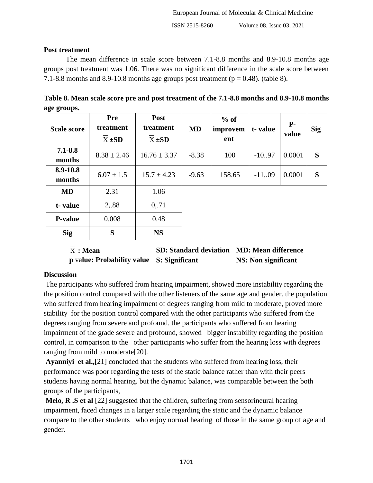#### **Post treatment**

The mean difference in scale score between 7.1-8.8 months and 8.9-10.8 months age groups post treatment was 1.06. There was no significant difference in the scale score between 7.1-8.8 months and 8.9-10.8 months age groups post treatment ( $p = 0.48$ ). (table 8).

| Table 8. Mean scale score pre and post treatment of the 7.1-8.8 months and 8.9-10.8 months |  |
|--------------------------------------------------------------------------------------------|--|
| age groups.                                                                                |  |

| <b>Scale score</b>    | <b>Pre</b><br>treatment<br>$X \pm SD$ | Post<br>treatment<br>$X \pm SD$ | <b>MD</b> | $%$ of<br>improvem<br>ent | t-value  | <b>P-</b><br>value | <b>Sig</b> |
|-----------------------|---------------------------------------|---------------------------------|-----------|---------------------------|----------|--------------------|------------|
| $7.1 - 8.8$<br>months | $8.38 \pm 2.46$                       | $16.76 \pm 3.37$                | $-8.38$   | 100                       | $-10.97$ | 0.0001             | S          |
| 8.9-10.8<br>months    | $6.07 \pm 1.5$                        | $15.7 \pm 4.23$                 | $-9.63$   | 158.65                    | $-11,09$ | 0.0001             | S          |
| <b>MD</b>             | 2.31                                  | 1.06                            |           |                           |          |                    |            |
| t-value               | 2,.88                                 | 0, 71                           |           |                           |          |                    |            |
| <b>P-value</b>        | 0.008                                 | 0.48                            |           |                           |          |                    |            |
| <b>Sig</b>            | S                                     | <b>NS</b>                       |           |                           |          |                    |            |

 $\overline{x}$ : Mean **: Mean SD: Standard deviation MD: Mean difference p** va**lue: Probability value S: Significant NS: Non significant**

## **Discussion**

The participants who suffered from hearing impairment, showed more instability regarding the the position control compared with the other listeners of the same age and gender. the population who suffered from hearing impairment of degrees ranging from mild to moderate, proved more stability for the position control compared with the other participants who suffered from the degrees ranging from severe and profound. the participants who suffered from hearing impairment of the grade severe and profound, showed bigger instability regarding the position control, in comparison to the other participants who suffer from the hearing loss with degrees ranging from mild to moderate[20].

**Ayanniyi et al.,**[21] concluded that the students who suffered from hearing loss, their performance was poor regarding the tests of the static balance rather than with their peers students having normal hearing. but the dynamic balance, was comparable between the both groups of the participants,

**Melo, R .S et al** [22] suggested that the children, suffering from sensorineural hearing impairment, faced changes in a larger scale regarding the static and the dynamic balance compare to the other students who enjoy normal hearing of those in the same group of age and gender.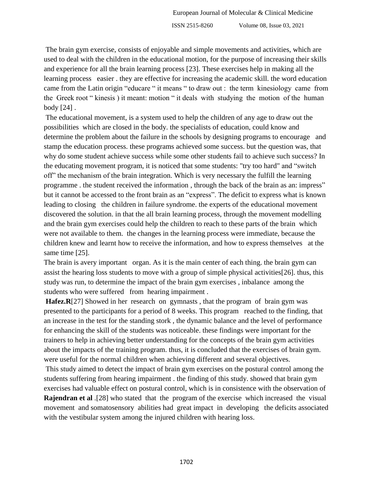The brain gym exercise, consists of enjoyable and simple movements and activities, which are used to deal with the children in the educational motion, for the purpose of increasing their skills and experience for all the brain learning process [23]. These exercises help in making all the learning process easier . they are effective for increasing the academic skill. the word education came from the Latin origin "educare " it means " to draw out : the term kinesiology came from the Greek root " kinesis ) it meant: motion " it deals with studying the motion of the human body [24] .

The educational movement, is a system used to help the children of any age to draw out the possibilities which are closed in the body. the specialists of education, could know and determine the problem about the failure in the schools by designing programs to encourage and stamp the education process. these programs achieved some success. but the question was, that why do some student achieve success while some other students fail to achieve such success? In the educating movement program, it is noticed that some students: "try too hard" and "switch off" the mechanism of the brain integration. Which is very necessary the fulfill the learning programme . the student received the information , through the back of the brain as an: impress" but it cannot be accessed to the front brain as an "express". The deficit to express what is known leading to closing the children in failure syndrome. the experts of the educational movement discovered the solution. in that the all brain learning process, through the movement modelling and the brain gym exercises could help the children to reach to these parts of the brain which were not available to them. the changes in the learning process were immediate, because the children knew and learnt how to receive the information, and how to express themselves at the same time [25].

The brain is avery important organ. As it is the main center of each thing. the brain gym can assist the hearing loss students to move with a group of simple physical activities[26]. thus, this study was run, to determine the impact of the brain gym exercises , inbalance among the students who were suffered from hearing impairment .

**Hafez.R**[27] Showed in her research on gymnasts, that the program of brain gym was presented to the participants for a period of 8 weeks. This program reached to the finding, that an increase in the test for the standing stork , the dynamic balance and the level of performance for enhancing the skill of the students was noticeable. these findings were important for the trainers to help in achieving better understanding for the concepts of the brain gym activities about the impacts of the training program. thus, it is concluded that the exercises of brain gym. were useful for the normal children when achieving different and several objectives.

This study aimed to detect the impact of brain gym exercises on the postural control among the students suffering from hearing impairment . the finding of this study. showed that brain gym exercises had valuable effect on postural control, which is in consistence with the observation of

**Rajendran et al** .[28] who stated that the program of the exercise which increased the visual movement and somatosensory abilities had great impact in developing the deficits associated with the vestibular system among the injured children with hearing loss.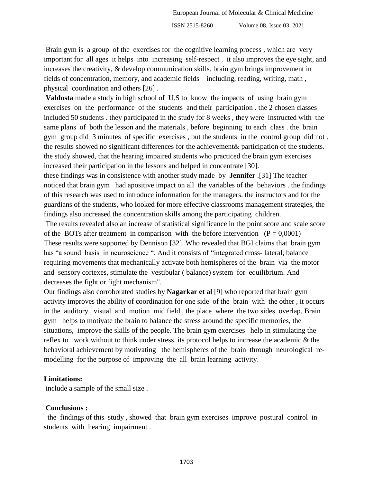Brain gym is a group of the exercises for the cognitive learning process , which are very important for all ages it helps into increasing self-respect . it also improves the eye sight, and increases the creativity, & develop communication skills. brain gym brings improvement in fields of concentration, memory, and academic fields – including, reading, writing, math , physical coordination and others [26] .

**Valdosta** made a study in high school of U.S to know the impacts of using brain gym exercises on the performance of the students and their participation . the 2 chosen classes included 50 students . they participated in the study for 8 weeks , they were instructed with the same plans of both the lesson and the materials , before beginning to each class . the brain gym group did 3 minutes of specific exercises , but the students in the control group did not . the results showed no significant differences for the achievement& participation of the students. the study showed, that the hearing impaired students who practiced the brain gym exercises increased their participation in the lessons and helped in concentrate [30].

these findings was in consistence with another study made by **Jennifer** .[31] The teacher noticed that brain gym had apositive impact on all the variables of the behaviors . the findings of this research was used to introduce information for the managers. the instructors and for the guardians of the students, who looked for more effective classrooms management strategies, the findings also increased the concentration skills among the participating children.

The results revealed also an increase of statistical significance in the point score and scale score of the BOTs after treatment in comparison with the before intervention  $(P = 0,0001)$ These results were supported by Dennison [32]. Who revealed that BGI claims that brain gym has "a sound basis in neuroscience ". And it consists of "integrated cross- lateral, balance requiring movements that mechanically activate both hemispheres of the brain via the motor and sensory cortexes, stimulate the vestibular ( balance) system for equilibrium. And decreases the fight or fight mechanism".

Our findings also corroborated studies by **Nagarkar et al** [9] who reported that brain gym activity improves the ability of coordination for one side of the brain with the other , it occurs in the auditory , visual and motion mid field , the place where the two sides overlap. Brain gym helps to motivate the brain to balance the stress around the specific memories, the situations, improve the skills of the people. The brain gym exercises help in stimulating the reflex to work without to think under stress. its protocol helps to increase the academic & the behavioral achievement by motivating the hemispheres of the brain through neurological remodelling for the purpose of improving the all brain learning activity.

## **Limitations:**

include a sample of the small size .

## **Conclusions :**

 the findings of this study , showed that brain gym exercises improve postural control in students with hearing impairment .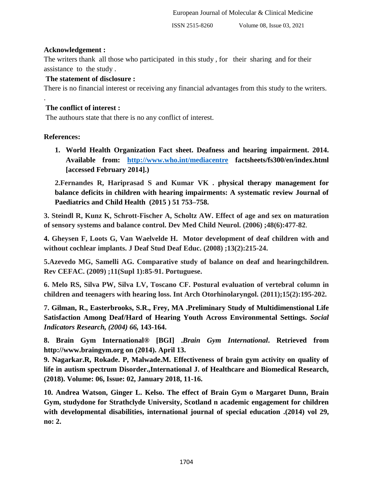## **Acknowledgement :**

The writers thank all those who participated in this study , for their sharing and for their assistance to the study .

## **The statement of disclosure :**

There is no financial interest or receiving any financial advantages from this study to the writers.

# **The conflict of interest :**

The authours state that there is no any conflict of interest.

## **References:**

.

**1. World Health Organization Fact sheet. Deafness and hearing impairment. 2014. Available from: <http://www.who.int/mediacentre> factsheets/fs300/en/index.html [accessed February 2014].)**

**2.Fernandes R, Hariprasad S and Kumar VK . physical therapy management for balance deficits in children with hearing impairments: A systematic review Journal of Paediatrics and Child Health (2015 ) 51 753–758.**

**3. Steindl R, Kunz K, Schrott-Fischer A, Scholtz AW. Effect of age and sex on maturation of sensory systems and balance control. Dev Med Child Neurol. (2006) ;48(6):477-82**.

**4. Gheysen F, Loots G, Van Waelvelde H. Motor development of deaf children with and without cochlear implants. J Deaf Stud Deaf Educ. (2008) ;13(2):215-24.**

**5.Azevedo MG, Samelli AG. Comparative study of balance on deaf and hearingchildren. Rev CEFAC. (2009) ;11(Supl 1):85-91. Portuguese.**

**6. Melo RS, Silva PW, Silva LV, Toscano CF. Postural evaluation of vertebral column in children and teenagers with hearing loss. Int Arch Otorhinolaryngol. (2011);15(2):195-202.**

**7. Gilman, R., Easterbrooks, S.R., Frey, MA .Preliminary Study of Multidimenstional Life Satisfaction Among Deaf/Hard of Hearing Youth Across Environmental Settings.** *Social Indicators Research, (2004) 66,* **143-164.**

**8. Brain Gym International® [BGI] .***Brain Gym International***. Retrieved from http://www.braingym.org on (2014). April 13.**

**9. Nagarkar.R, Rokade. P, Malwade.M. Effectiveness of brain gym activity on quality of life in autism spectrum Disorder.,International J. of Healthcare and Biomedical Research, (2018). Volume: 06, Issue: 02, January 2018, 11-16.**

**10. Andrea Watson, Ginger L. Kelso. The effect of Brain Gym o Margaret Dunn, Brain Gym, studydone for Strathclyde University, Scotland n academic engagement for children with developmental disabilities, international journal of special education .(2014) vol 29, no: 2.**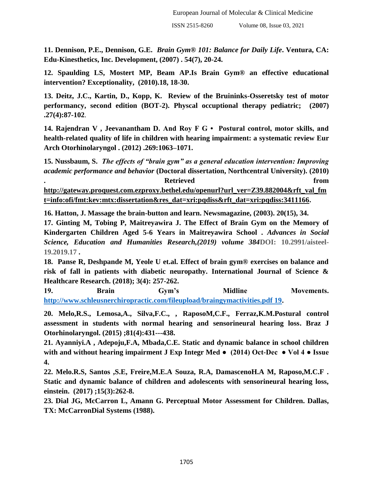**11. Dennison, P.E., Dennison, G.E.** *Brain Gym® 101: Balance for Daily Life***. Ventura, CA: Edu-Kinesthetics, Inc. Development, (2007) . 54(7), 20-24.**

**12. Spaulding LS, Mostert MP, Beam AP.Is Brain Gym® an effective educational intervention? Exceptionality, (2010).18, 18-30.**

**13. Deitz, J.C., Kartin, D., Kopp, K. Review of the Bruininks-Osseretsky test of motor performancy, second edition (BOT-2). Physcal occuptional therapy pediatric; (2007) .27(4):87-102**.

**14. Rajendran V , Jeevanantham D. And Roy F G • Postural control, motor skills, and health-related quality of life in children with hearing impairment: a systematic review Eur Arch Otorhinolaryngol . (2012) .269:1063–1071.**

**15. Nussbaum, S.** *The effects of "brain gym" as a general education intervention: Improving academic performance and behavior* **(Doctoral dissertation, Northcentral University). (2010) . Retrieved from**

**[http://gateway.proquest.com.ezproxy.bethel.edu/openurl?url\\_ver=Z39.882004&rft\\_val\\_fm](http://gateway.proquest.com.ezproxy.bethel.edu/openurl?url_ver=Z39.882004&rft_val_fmt=info:ofi/fmt:kev:mtx:dissertation&res_dat=xri:pqdiss&rft_dat=xri:pqdiss:3411166) [t=info:ofi/fmt:kev:mtx:dissertation&res\\_dat=xri:pqdiss&rft\\_dat=xri:pqdiss:3411166.](http://gateway.proquest.com.ezproxy.bethel.edu/openurl?url_ver=Z39.882004&rft_val_fmt=info:ofi/fmt:kev:mtx:dissertation&res_dat=xri:pqdiss&rft_dat=xri:pqdiss:3411166)**

**16. Hatton, J. Massage the brain-button and learn. Newsmagazine, (2003). 20(15), 34.**

**17. Ginting M, Tobing P, Maitreyawira J. The Effect of Brain Gym on the Memory of Kindergarten Children Aged 5-6 Years in Maitreyawira School .** *Advances in Social Science, Education and Humanities Research,(2019) volume 384***DOI: 10.2991/aisteel-19.2019.17 .** 

**18. Panse R, Deshpande M, Yeole U et.al. Effect of brain gym® exercises on balance and risk of fall in patients with diabetic neuropathy. International Journal of Science & Healthcare Research. (2018); 3(4): 257-262.** 

**19. Brain Gym's Midline Movements. [http://www.schleusnerchiropractic.com/fileupload/braingymactivities.pdf 19.](http://www.schleusnerchiropractic.com/fileupload/braingymactivities.pdf%2019)**

**20. Melo,R.S., Lemosa,A., Silva,F.C., , RaposoM,C.F., Ferraz,K.M.Postural control assessment in students with normal hearing and sensorineural hearing loss. Braz J Otorhinolaryngol. (2015) ;81(4):431---438.**

**21. Ayanniyi.A , Adepoju,F.A, Mbada,C.E. Static and dynamic balance in school children with and without hearing impairment J Exp Integr Med ● (2014) Oct-Dec ● Vol 4 ● Issue 4.**

**22. Melo.R.S, Santos ,S.E, Freire,M.E.A Souza, R.A, DamascenoH.A M, Raposo,M.C.F . Static and dynamic balance of children and adolescents with sensorineural hearing loss, einstein. (2017) ;15(3):262-8.**

**23. Dial JG, McCarron L, Amann G. Perceptual Motor Assessment for Children. Dallas, TX: McCarronDial Systems (1988).**